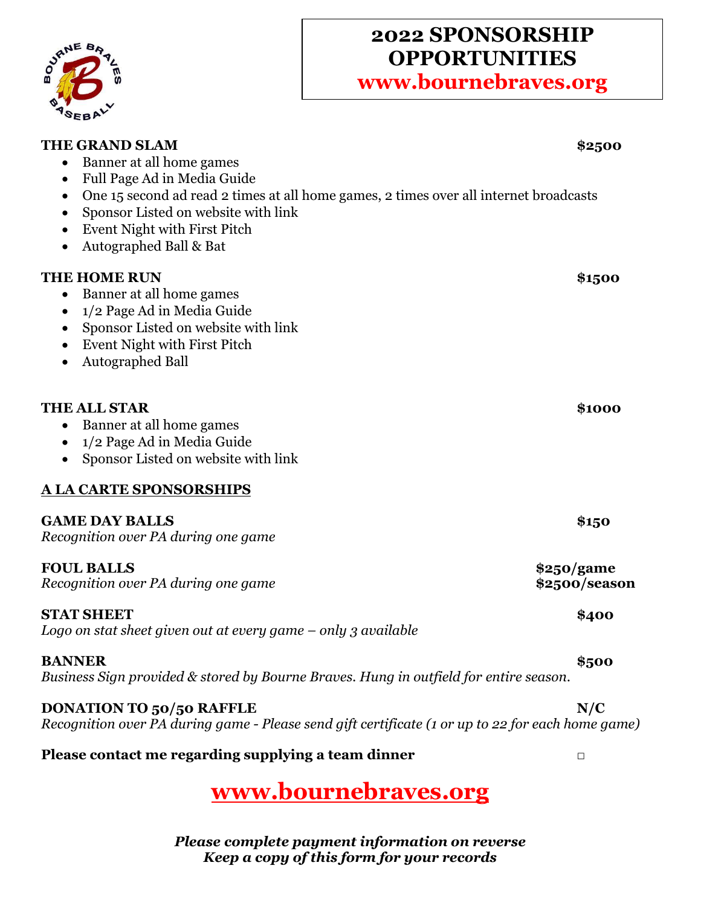

# **2022 SPONSORSHIP OPPORTUNITIES**

**www.bournebraves.org**

| <b>THE GRAND SLAM</b>                                                                                                                                                                                                                                                                                              | \$2500                      |
|--------------------------------------------------------------------------------------------------------------------------------------------------------------------------------------------------------------------------------------------------------------------------------------------------------------------|-----------------------------|
| Banner at all home games<br>$\bullet$<br>Full Page Ad in Media Guide<br>$\bullet$<br>One 15 second ad read 2 times at all home games, 2 times over all internet broadcasts<br>$\bullet$<br>Sponsor Listed on website with link<br>Event Night with First Pitch<br>$\bullet$<br>Autographed Ball & Bat<br>$\bullet$ |                             |
| <b>THE HOME RUN</b><br>Banner at all home games<br>$\bullet$<br>1/2 Page Ad in Media Guide<br>$\bullet$<br>Sponsor Listed on website with link<br>$\bullet$<br>Event Night with First Pitch<br>Autographed Ball<br>٠                                                                                               | \$1500                      |
| <b>THE ALL STAR</b><br>Banner at all home games<br>$\bullet$<br>1/2 Page Ad in Media Guide<br>$\bullet$<br>Sponsor Listed on website with link                                                                                                                                                                     | \$1000                      |
| <b>A LA CARTE SPONSORSHIPS</b>                                                                                                                                                                                                                                                                                     |                             |
| <b>GAME DAY BALLS</b><br>Recognition over PA during one game                                                                                                                                                                                                                                                       | \$150                       |
| <b>FOUL BALLS</b><br>Recognition over PA during one game                                                                                                                                                                                                                                                           | \$250/game<br>\$2500/season |
| <b>STAT SHEET</b><br>Logo on stat sheet given out at every game $-$ only 3 available                                                                                                                                                                                                                               | \$400                       |
| <b>BANNER</b><br>Business Sign provided & stored by Bourne Braves. Hung in outfield for entire season.                                                                                                                                                                                                             | \$500                       |
| <b>DONATION TO 50/50 RAFFLE</b><br>Recognition over PA during game - Please send gift certificate (1 or up to 22 for each home game)                                                                                                                                                                               | N/C                         |
| Please contact me regarding supplying a team dinner                                                                                                                                                                                                                                                                | $\Box$                      |

**[www.bournebraves.org](http://www.bournebraves.org/)**

*Please complete payment information on reverse Keep a copy of this form for your records*